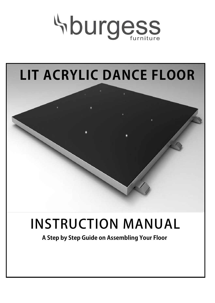

# **LIT ACRYLIC DANCE FLOOR**

## **INSTRUCTION MANUAL**

**A Step by Step Guide on Assembling Your Floor**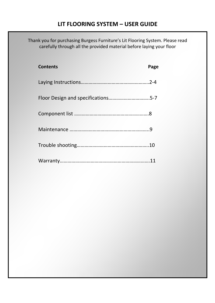## **LIT FLOORING SYSTEM – USER GUIDE**

Thank you for purchasing Burgess Furniture's Lit Flooring System. Please read carefully through all the provided material before laying your floor

| <b>Contents</b>                    | Page |
|------------------------------------|------|
|                                    |      |
| Floor Design and specifications5-7 |      |
|                                    |      |
|                                    |      |
|                                    |      |
|                                    |      |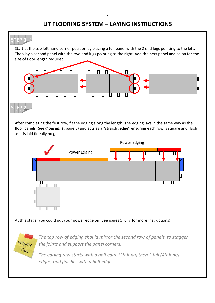## **LIT FLOORING SYSTEM – LAYING INSTRUCTIONS**



*The edging row starts with a half edge (2ft long) then 2 full (4ft long) edges, and finishes with a half edge.* 

 $z4\overline{1}$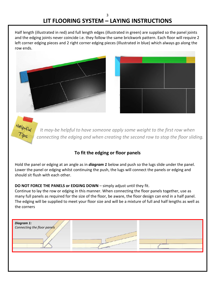Half length (illustrated in red) and full length edges (illustrated in green) are supplied so the panel joints and the edging joints never coincide i.e. they follow the same brickwork pattern. Each floor will require 2 left corner edging pieces and 2 right corner edging pieces (Illustrated in blue) which always go along the row ends.





 $\overline{P_{i}\rho_{s}}$ 

 *It may-be helpful to have someone apply some weight to the first row when connecting the edging and when creating the second row to stop the floor sliding.* 

#### **To fit the edging or floor panels**

Hold the panel or edging at an angle as in *diagram 1* below and push so the lugs slide under the panel. Lower the panel or edging whilst continuing the push, the lugs will connect the panels or edging and should sit flush with each other.

#### **DO NOT FORCE THE PANELS or EDGING DOWN** – simply adjust until they fit.

Continue to lay the row or edging in this manner. When connecting the floor panels together, use as many full panels as required for the size of the floor, be aware, the floor design can end in a half panel. The edging will be supplied to meet your floor size and will be a mixture of full and half lengths as well as the corners

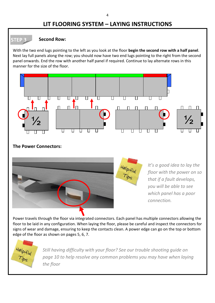### **LIT FLOORING SYSTEM – LAYING INSTRUCTIONS**

#### **Second Row:**

**STEP 3**

With the two end lugs pointing to the left as you look at the floor **begin the second row with a half panel**. Next lay full panels along the row; you should now have two end lugs pointing to the right from the second panel onwards. End the row with another half panel if required. Continue to lay alternate rows in this manner for the size of the floor.







*It's a good idea to lay the floor with the power on so that if a fault develops, you will be able to see which panel has a poor connection.* 

Power travels through the floor via integrated connectors. Each panel has multiple connectors allowing the floor to be laid in any configuration. When laying the floor, please be careful and inspect the connectors for signs of wear and damage, ensuring to keep the contacts clean. A power edge can go on the top or bottom edge of the floor as shown on pages 5, 6, 7.



*Still having difficulty with your floor? See our trouble shooting guide on page 10 to help resolve any common problems you may have when laying the floor*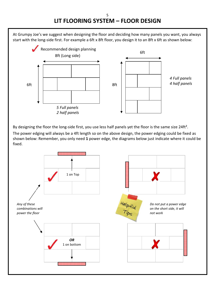#### 5 **LIT FLOORING SYSTEM – FLOOR DESIGN**

At Grumpy Joe's we suggest when designing the floor and deciding how many panels you want, you always start with the long-side first. For example a 6ft x 8ft floor, you design it to an 8ft x 6ft as shown below:



By designing the floor the long-side first, you use less half panels yet the floor is the same size 24ft<sup>2</sup>.

The power edging will always be a 4ft length so on the above design, the power edging could be fixed as shown below: Remember, you only need **1** power edge, the diagrams below just indicate where it could be fixed.

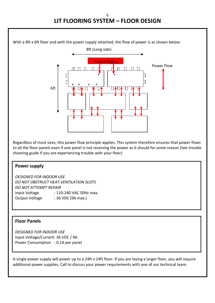## **LIT FLOORING SYSTEM – FLOOR DESIGN**



Regardless of most sizes, this power flow principle applies. This system therefore ensures that power flows to all the floor panels even if one panel is not receiving the power as it should for some reason (See trouble shooting guide if you are experiencing trouble with your floor)

#### **Power supply**

*DESIGNED FOR INDOOR USE DO NOT OBSTRUCT HEAT VENTILATION SLOTS DO NOT ATTEMPT REPAIR*  Input Voltage : 110-240 VAC 50Hz max. Output Voltage : 36 VDC (9A max.)

#### **Floor Panels**

*DESIGNED FOR INDOOR USE*  Input Voltage/Current: 36 VDC / 9A Power Consumption : 0.1A per panel

A single power supply will power up to a 24ft x 24ft floor. If you are laying a larger floor, you will require additional power supplies. Call to discuss your power requirements with one of our technical team.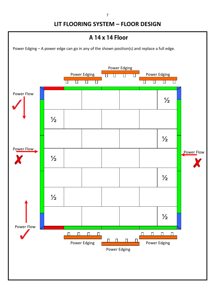7

## **LIT FLOORING SYSTEM – FLOOR DESIGN**

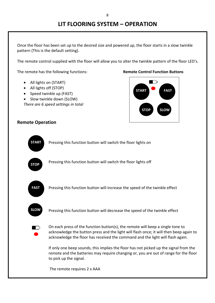Once the floor has been set up to the desired size and powered up, the floor starts in a slow twinkle pattern (This is the default setting).

The remote control supplied with the floor will allow you to alter the twinkle pattern of the floor LED's.

The remote has the following functions: **Remote Control Function Buttons**

- All lights on (START)
- All lights off (STOP)
- Speed twinkle up (FAST)
- Slow twinkle down (SLOW)

*There are 6 speed settings in total*



#### **Remote Operation**

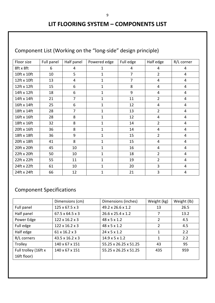## **LIT FLOORING SYSTEM – COMPONENTS LIST**

## Component List (Working on the "long-side" design principle)

| Floor size  | Full panel | Half panel     | Powered edge | Full edge      | Half edge      | R/L corner     |
|-------------|------------|----------------|--------------|----------------|----------------|----------------|
| 8ft x 8ft   | 6          | 4              | 1            | 4              | 4              | 4              |
| 10ft x 10ft | 10         | 5              | $\mathbf{1}$ | $\overline{7}$ | $\overline{2}$ | 4              |
| 12ft x 10ft | 13         | $\overline{4}$ | $\mathbf{1}$ | $\overline{7}$ | 4              | 4              |
| 12ft x 12ft | 15         | 6              | 1            | 8              | 4              | 4              |
| 14ft x 12ft | 18         | 6              | 1            | 9              | 4              | 4              |
| 14ft x 14ft | 21         | $\overline{7}$ | $\mathbf{1}$ | 11             | $\overline{2}$ | 4              |
| 16ft x 14ft | 25         | 6              | $\mathbf{1}$ | 12             | $\overline{4}$ | 4              |
| 18ft x 14ft | 28         | $\overline{7}$ | $\mathbf{1}$ | 13             | $\overline{2}$ | $\overline{4}$ |
| 16ft x 16ft | 28         | 8              | $\mathbf{1}$ | 12             | $\overline{4}$ | 4              |
| 18ft x 16ft | 32         | 8              | $\mathbf{1}$ | 14             | $\overline{2}$ | 4              |
| 20ft x 16ft | 36         | 8              | 1            | 14             | 4              | 4              |
| 18ft x 18ft | 36         | 9              | 1            | 15             | $\overline{2}$ | 4              |
| 20ft x 18ft | 41         | 8              | $\mathbf 1$  | 15             | 4              | 4              |
| 20ft x 20ft | 45         | 10             | $\mathbf 1$  | 16             | 4              | 4              |
| 22ft x 20ft | 50         | 10             | $\mathbf{1}$ | 18             | $\overline{2}$ | $\overline{4}$ |
| 22ft x 22ft | 55         | 11             | $\mathbf{1}$ | 19             | $\overline{2}$ | 4              |
| 24ft x 22ft | 61         | 10             | $\mathbf{1}$ | 20             | 3              | 4              |
| 24ft x 24ft | 66         | 12             | 1            | 21             | 3              | $\overline{4}$ |

## Component Specifications

|                      | Dimensions (cm)             | Dimensions (inches)        | Weight (kg)    | Weight (lb) |
|----------------------|-----------------------------|----------------------------|----------------|-------------|
| Full panel           | $125 \times 67.5 \times 3$  | 49.2 x 26.6 x 1.2          | 13             | 26.5        |
| Half panel           | $67.5 \times 64.5 \times 3$ | 26.6 x 25.4 x 1.2          | 7              | 13.2        |
| Power Edge           | $122 \times 16.2 \times 3$  | $48 \times 5 \times 1.2$   | $\overline{2}$ | 4.5         |
| Full edge            | $122 \times 16.2 \times 3$  | $48 \times 5 \times 1.2$   | 2              | 4.5         |
| Half edge            | 61 x 16.2 x 3               | $24 \times 5 \times 1.2$   | 1              | 2.2         |
| R/L corners          | 43.5 x 16.2 x 3             | $14.9 \times 5 \times 1.2$ | 1              | 2.2         |
| Trolley              | 140 x 67 x 151              | 55.25 x 26.25 x 51.25      | 43             | 95          |
| Full trolley (16ft x | 140 x 67 x 151              | 55.25 x 26.25 x 51.25      | 435            | 959         |
| 16ft floor)          |                             |                            |                |             |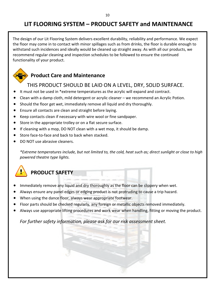## **LIT FLOORING SYSTEM – PRODUCT SAFETY and MAINTENANCE**

The design of our Lit Flooring System delivers excellent durability, reliability and performance. We expect the floor may come in to contact with minor spillages such as from drinks, the floor is durable enough to withstand such incidences and ideally would be cleaned up straight away. As with all our products, we recommend regular cleaning and inspection schedules to be followed to ensure the continued functionality of your product.

### **Product Care and Maintenance**

#### THIS PRODUCT SHOULD BE LAID ON A LEVEL, DRY, SOLID SURFACE.

- It must not be used in \*extreme temperatures as the acrylic will expand and contract.
- Clean with a damp cloth, mild detergent or acrylic cleaner we recommend an Acrylic Potion.
- Should the floor get wet, immediately remove all liquid and dry thoroughly.
- Ensure all contacts are clean and straight before laying.
- Keep contacts clean if necessary with wire wool or fine sandpaper.
- Store in the appropriate trolley or on a flat secure surface.
- If cleaning with a mop, DO NOT clean with a wet mop, it should be damp.
- Store face-to-face and back to back when stacked.
- DO NOT use abrasive cleaners.

*\*Extreme temperatures include, but not limited to, the cold, heat such as; direct sunlight or close to high powered theatre type lights.*



## **PRODUCT SAFETY**

- Immediately remove any liquid and dry thoroughly as the floor can be slippery when wet.
- Always ensure any panel edges or edging product is not protruding to cause a trip hazard.
- When using the dance floor, always wear appropriate footwear.
- Floor parts should be checked regularly, any foreign or metallic objects removed immediately.
- Always use appropriate lifting procedures and work wear when handling, fitting or moving the product.

*For further safety information, please ask for our risk assessment sheet.*

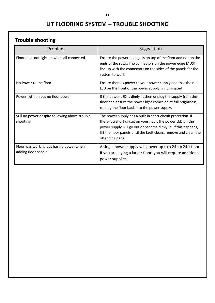## **LIT FLOORING SYSTEM – TROUBLE SHOOTING**

## **Trouble shooting**

| Problem                                                        | Suggestion                                                                                                                                                                                                                                                                              |
|----------------------------------------------------------------|-----------------------------------------------------------------------------------------------------------------------------------------------------------------------------------------------------------------------------------------------------------------------------------------|
| Floor does not light up when all connected                     | Ensure the powered edge is on top of the floor and not on the<br>ends of the rows. The connectors on the power edge MUST<br>line up with the connectors on the sides of the panels for the<br>system to work                                                                            |
| No Power to the floor                                          | Ensure there is power to your power supply and that the red<br>LED on the front of the power supply is illuminated                                                                                                                                                                      |
| Power light on but no floor power                              | If the power LED is dimly lit then unplug the supply from the<br>floor and ensure the power light comes on at full brightness,<br>re-plug the floor back into the power supply.                                                                                                         |
| Still no power despite following above trouble<br>shooting     | The power supply has a built in short circuit protection. If<br>there is a short circuit on your floor, the power LED on the<br>power supply will go out or become dimly lit. If this happens,<br>lift the floor panels until the fault clears, remove and clean the<br>offending panel |
| Floor was working but has no power when<br>adding floor panels | A single power supply will power up to a 24ft x 24ft floor.<br>If you are laying a larger floor, you will require additional<br>power supplies.                                                                                                                                         |